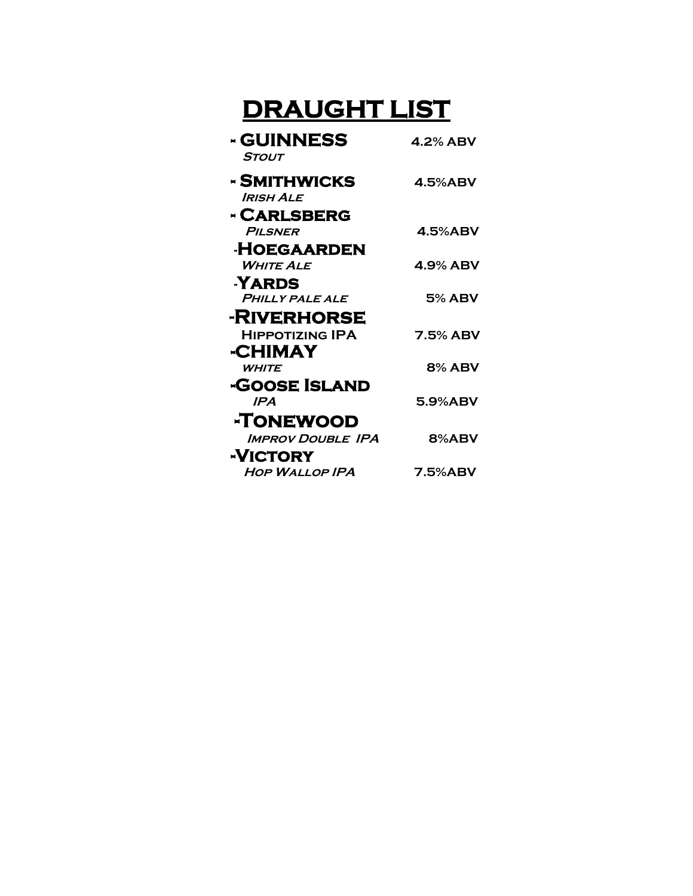## **DRAUGHT LIST**

| <b>- GUINNESS</b><br><b>STOUT</b> | 4.2% ABV        |
|-----------------------------------|-----------------|
| - SMITHWICKS<br><b>IRISH ALE</b>  | $4.5\%$ ABV     |
| <b>- CARLSBERG</b>                |                 |
| PILSNER                           | <b>4.5%ABV</b>  |
| <b>HOEGAARDEN</b>                 |                 |
| <b>WHITE ALE</b>                  | 4.9% ABV        |
| <b>YARDS</b>                      |                 |
| <b>PHILLY PALE ALE</b>            | <b>5% ABV</b>   |
| <b>-RIVERHORSE</b>                |                 |
| <b>HIPPOTIZING IPA</b>            | <b>7.5% ABV</b> |
| -CHIMAY                           |                 |
| <b>WHITE</b>                      | <b>8% ABV</b>   |
| <b>-GOOSE ISLAND</b>              |                 |
| <b>IPA</b>                        | 5.9%ABV         |
| -TONEWOOD                         |                 |
| <b>IMPROV DOUBLE IPA</b>          | 8%ABV           |
| -VICTORY                          |                 |
| <b>HOP WALLOP IPA</b>             | <b>7.5%ABV</b>  |
|                                   |                 |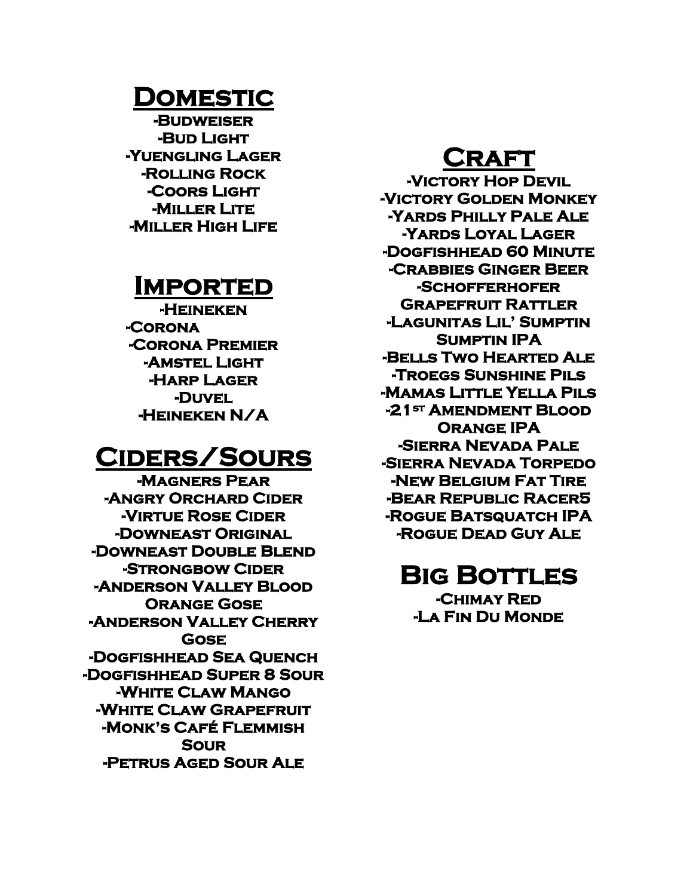### **Domestic**

**-Budweiser -Bud Light -Yuengling Lager -Rolling Rock -Coors Light -Miller Lite -Miller High Life** 

### **Imported**

**-Heineken -Corona -Corona Premier -Amstel Light -Harp Lager -Duvel -Heineken N/A** 

### **Ciders/Sours**

**-Magners Pear -Angry Orchard Cider -Virtue Rose Cider -Downeast Original -Downeast Double Blend -Strongbow Cider -Anderson Valley Blood Orange Gose -Anderson Valley Cherry Gose -Dogfishhead Sea Quench -Dogfishhead Super 8 Sour -White Claw Mango -White Claw Grapefruit -Monk's Café Flemmish Sour -Petrus Aged Sour Ale** 

## **Craft**

**-Victory Hop Devil -Victory Golden Monkey -Yards Philly Pale Ale -Yards Loyal Lager -Dogfishhead 60 Minute -Crabbies Ginger Beer -Schofferhofer Grapefruit Rattler -Lagunitas Lil' Sumptin Sumptin IPA -Bells Two Hearted Ale -Troegs Sunshine Pils -Mamas Little Yella Pils -21st Amendment Blood Orange IPA -Sierra Nevada Pale -Sierra Nevada Torpedo -New Belgium Fat Tire -Bear Republic Racer5 -Rogue Batsquatch IPA -Rogue Dead Guy Ale** 

## **Big Bottles**

**-Chimay Red -La Fin Du Monde**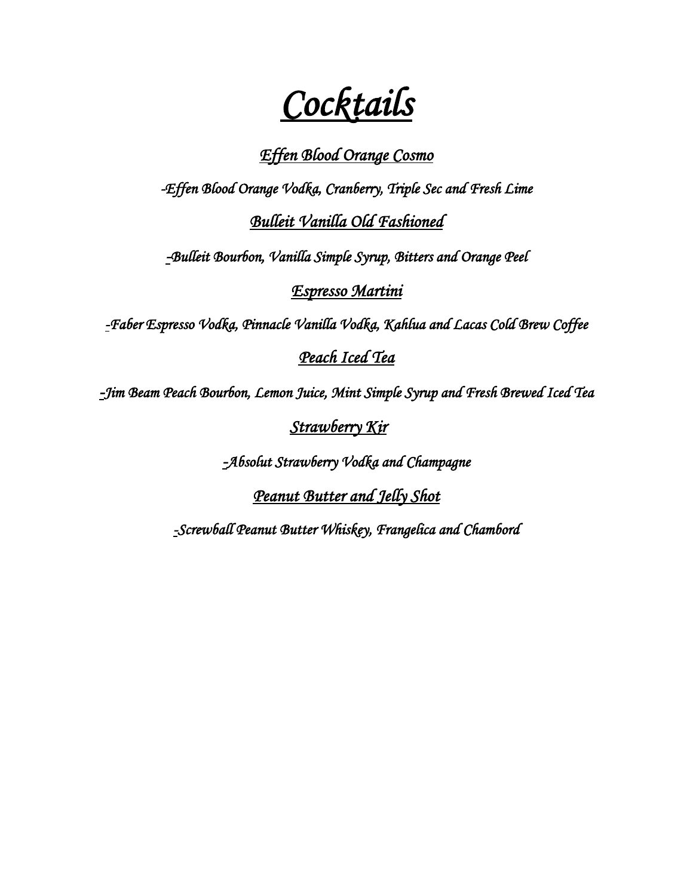*Cocktails* 

#### *Effen Blood Orange Cosmo*

*-Effen Blood Orange Vodka, Cranberry, Triple Sec and Fresh Lime Bulleit Vanilla Old Fashioned* 

*-Bulleit Bourbon, Vanilla Simple Syrup, Bitters and Orange Peel* 

*Espresso Martini* 

*-Faber Espresso Vodka, Pinnacle Vanilla Vodka, Kahlua and Lacas Cold Brew Coffee* 

#### *Peach Iced Tea*

*-Jim Beam Peach Bourbon, Lemon Juice, Mint Simple Syrup and Fresh Brewed Iced Tea* 

 *Strawberry Kir* 

*-Absolut Strawberry Vodka and Champagne* 

*Peanut Butter and Jelly Shot* 

*-Screwball Peanut Butter Whiskey, Frangelica and Chambord*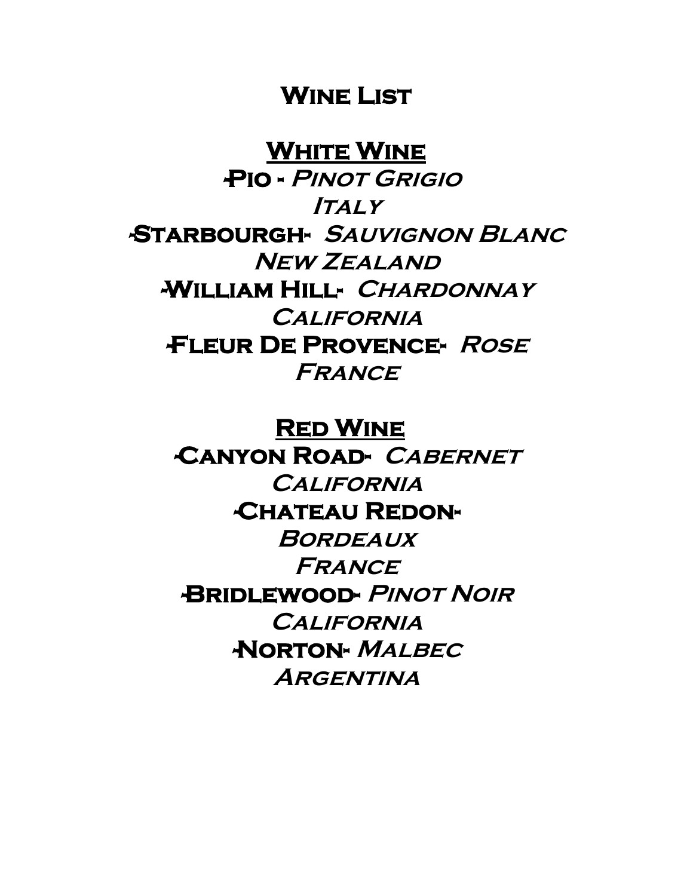### **Wine List**

**White Wine** 

 **-Pio - Pinot Grigio Italy -Starbourgh- Sauvignon Blanc New Zealand -William Hill- Chardonnay California -Fleur De Provence- Rose France**

> **Red Wine -Canyon Road- Cabernet**

**California -Chateau Redon-Bordeaux France -Bridlewood- Pinot Noir California -Norton- Malbec Argentina**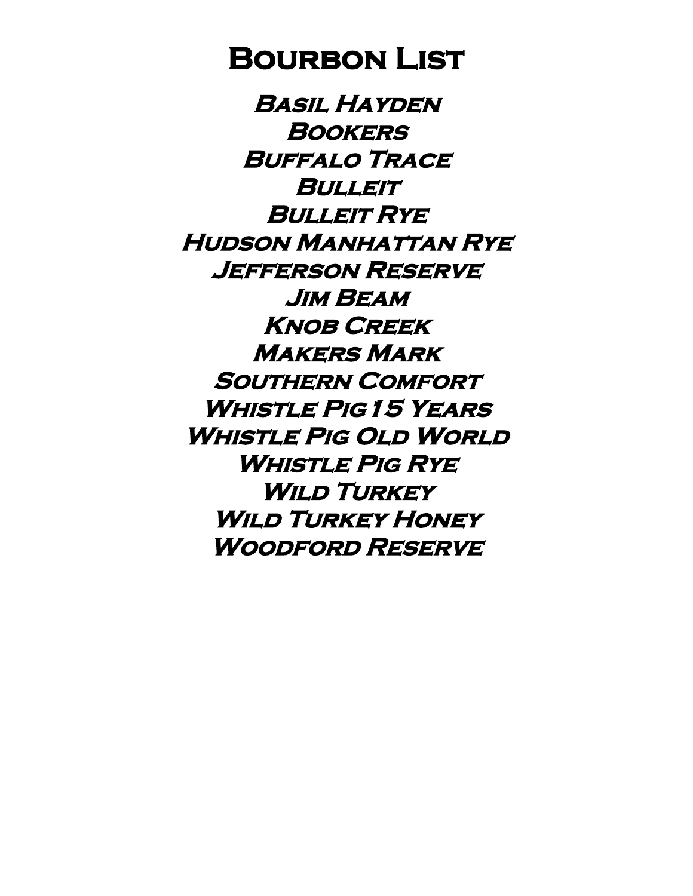# **Bourbon List**

**Basil Hayden Bookers Buffalo Trace Bulleit Bulleit Rye Hudson Manhattan Rye Jefferson Reserve Jim Beam Knob Creek Makers Mark Southern Comfort Whistle Pig15 Years Whistle Pig Old World Whistle Pig Rye Wild Turkey Wild Turkey Honey Woodford Reserve**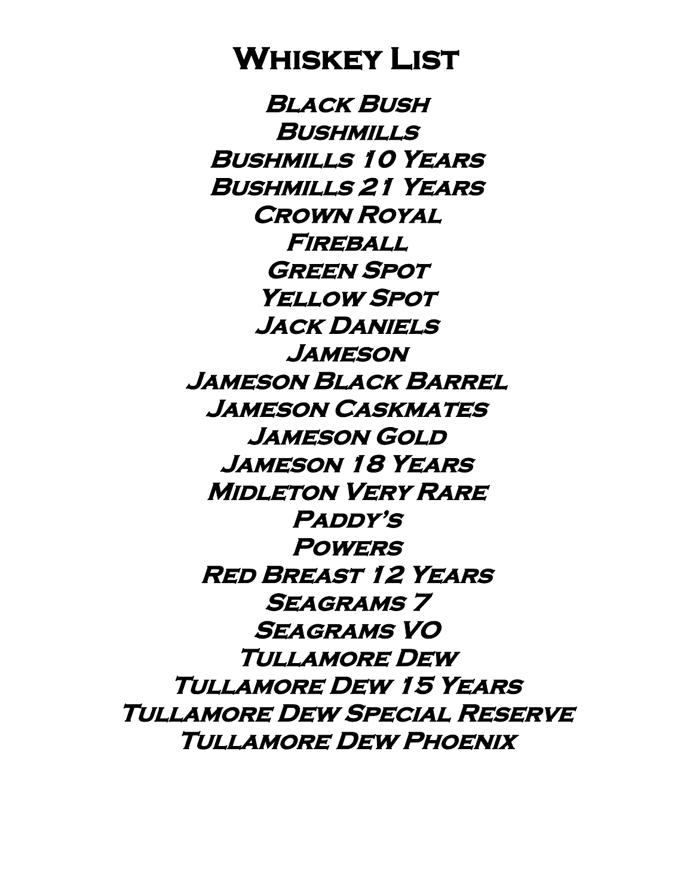# **Whiskey List**

**Black Bush Bushmills Bushmills 10 Years Bushmills 21 Years Crown Royal Fireball Green Spot Yellow Spot Jack Daniels Jameson Jameson Black Barrel Jameson Caskmates Jameson Gold Jameson 18 Years Midleton Very Rare Paddy's Powers Red Breast 12 Years Seagrams 7 Seagrams VO Tullamore Dew Tullamore Dew 15 Years Tullamore Dew Special Reserve Tullamore Dew Phoenix**